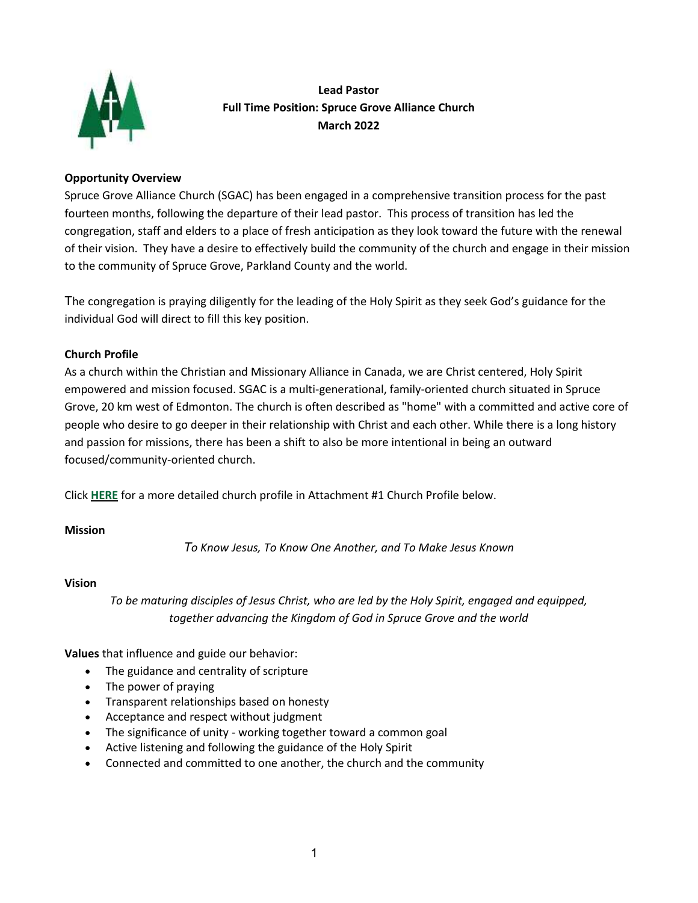

**Lead Pastor Full Time Position: Spruce Grove Alliance Church March 2022**

## <span id="page-0-0"></span>**Opportunity Overview**

Spruce Grove Alliance Church (SGAC) has been engaged in a comprehensive transition process for the past fourteen months, following the departure of their lead pastor. This process of transition has led the congregation, staff and elders to a place of fresh anticipation as they look toward the future with the renewal of their vision. They have a desire to effectively build the community of the church and engage in their mission to the community of Spruce Grove, Parkland County and the world.

The congregation is praying diligently for the leading of the Holy Spirit as they seek God's guidance for the individual God will direct to fill this key position.

# **Church Profile**

As a church within the Christian and Missionary Alliance in Canada, we are Christ centered, Holy Spirit empowered and mission focused. SGAC is a multi-generational, family-oriented church situated in Spruce Grove, 20 km west of Edmonton. The church is often described as "home" with a committed and active core of people who desire to go deeper in their relationship with Christ and each other. While there is a long history and passion for missions, there has been a shift to also be more intentional in being an outward focused/community-oriented church.

Click **[HERE](#page-4-0)** for a more detailed church profile in Attachment #1 Church Profile below.

## **Mission**

*To Know Jesus, To Know One Another, and To Make Jesus Known*

## **Vision**

*To be maturing disciples of Jesus Christ, who are led by the Holy Spirit, engaged and equipped, together advancing the Kingdom of God in Spruce Grove and the world*

**Values** that influence and guide our behavior:

- The guidance and centrality of scripture
- The power of praying
- Transparent relationships based on honesty
- Acceptance and respect without judgment
- The significance of unity working together toward a common goal
- Active listening and following the guidance of the Holy Spirit
- Connected and committed to one another, the church and the community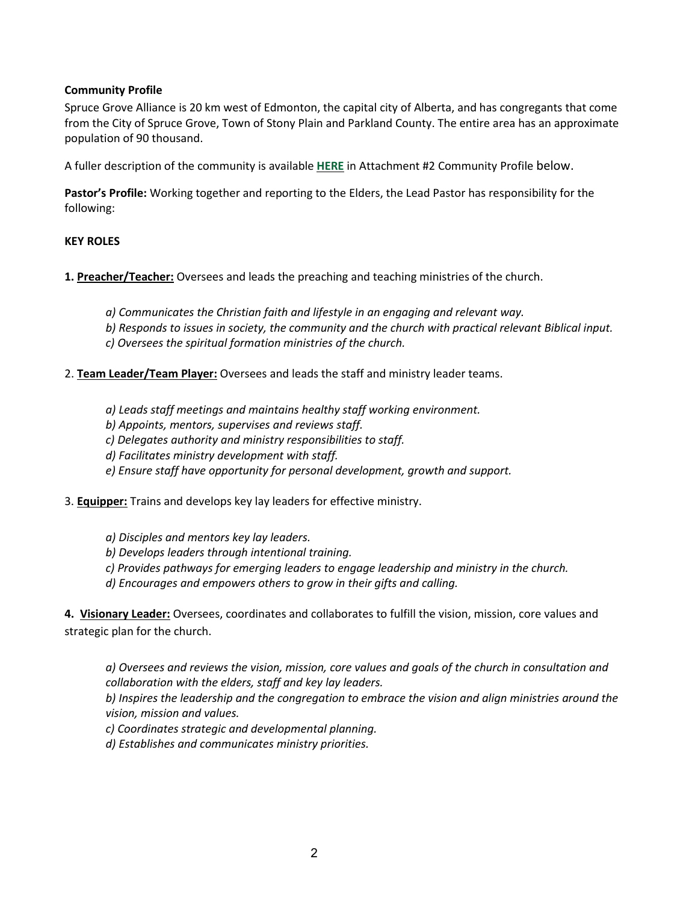## <span id="page-1-0"></span>**Community Profile**

Spruce Grove Alliance is 20 km west of Edmonton, the capital city of Alberta, and has congregants that come from the City of Spruce Grove, Town of Stony Plain and Parkland County. The entire area has an approximate population of 90 thousand.

A fuller description of the community is available **[HERE](#page-6-0)** in Attachment #2 Community Profile below.

**Pastor's Profile:** Working together and reporting to the Elders, the Lead Pastor has responsibility for the following:

# **KEY ROLES**

**1. Preacher/Teacher:** Oversees and leads the preaching and teaching ministries of the church.

- *a) Communicates the Christian faith and lifestyle in an engaging and relevant way.*
- *b) Responds to issues in society, the community and the church with practical relevant Biblical input.*
- *c) Oversees the spiritual formation ministries of the church.*
- 2. **Team Leader/Team Player:** Oversees and leads the staff and ministry leader teams.
	- *a) Leads staff meetings and maintains healthy staff working environment.*
	- *b) Appoints, mentors, supervises and reviews staff.*
	- *c) Delegates authority and ministry responsibilities to staff.*
	- *d) Facilitates ministry development with staff.*
	- *e) Ensure staff have opportunity for personal development, growth and support.*

3. **Equipper:** Trains and develops key lay leaders for effective ministry.

- *a) Disciples and mentors key lay leaders.*
- *b) Develops leaders through intentional training.*
- *c) Provides pathways for emerging leaders to engage leadership and ministry in the church.*
- *d) Encourages and empowers others to grow in their gifts and calling.*

**4. Visionary Leader:** Oversees, coordinates and collaborates to fulfill the vision, mission, core values and strategic plan for the church.

*a) Oversees and reviews the vision, mission, core values and goals of the church in consultation and collaboration with the elders, staff and key lay leaders.*

*b) Inspires the leadership and the congregation to embrace the vision and align ministries around the vision, mission and values.*

*c) Coordinates strategic and developmental planning.*

*d) Establishes and communicates ministry priorities.*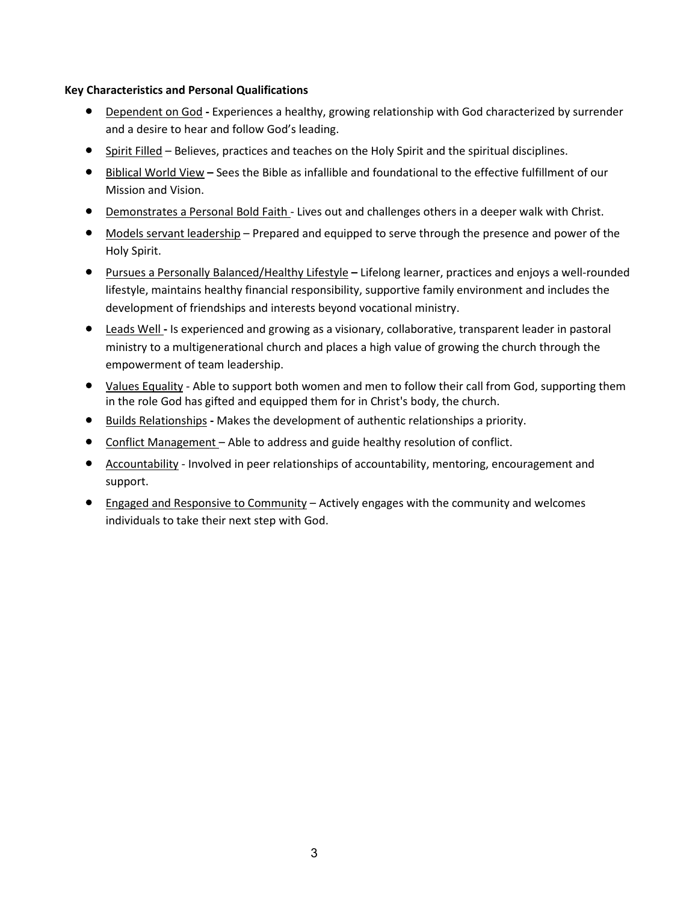## **Key Characteristics and Personal Qualifications**

- Dependent on God **-** Experiences a healthy, growing relationship with God characterized by surrender and a desire to hear and follow God's leading.
- Spirit Filled Believes, practices and teaches on the Holy Spirit and the spiritual disciplines.
- Biblical World View **–** Sees the Bible as infallible and foundational to the effective fulfillment of our Mission and Vision.
- Demonstrates a Personal Bold Faith Lives out and challenges others in a deeper walk with Christ.
- Models servant leadership Prepared and equipped to serve through the presence and power of the Holy Spirit.
- Pursues a Personally Balanced/Healthy Lifestyle **–** Lifelong learner, practices and enjoys a well-rounded lifestyle, maintains healthy financial responsibility, supportive family environment and includes the development of friendships and interests beyond vocational ministry.
- Leads Well **-** Is experienced and growing as a visionary, collaborative, transparent leader in pastoral ministry to a multigenerational church and places a high value of growing the church through the empowerment of team leadership.
- Values Equality Able to support both women and men to follow their call from God, supporting them in the role God has gifted and equipped them for in Christ's body, the church.
- Builds Relationships **-** Makes the development of authentic relationships a priority.
- Conflict Management Able to address and guide healthy resolution of conflict.
- Accountability Involved in peer relationships of accountability, mentoring, encouragement and support.
- Engaged and Responsive to Community Actively engages with the community and welcomes individuals to take their next step with God.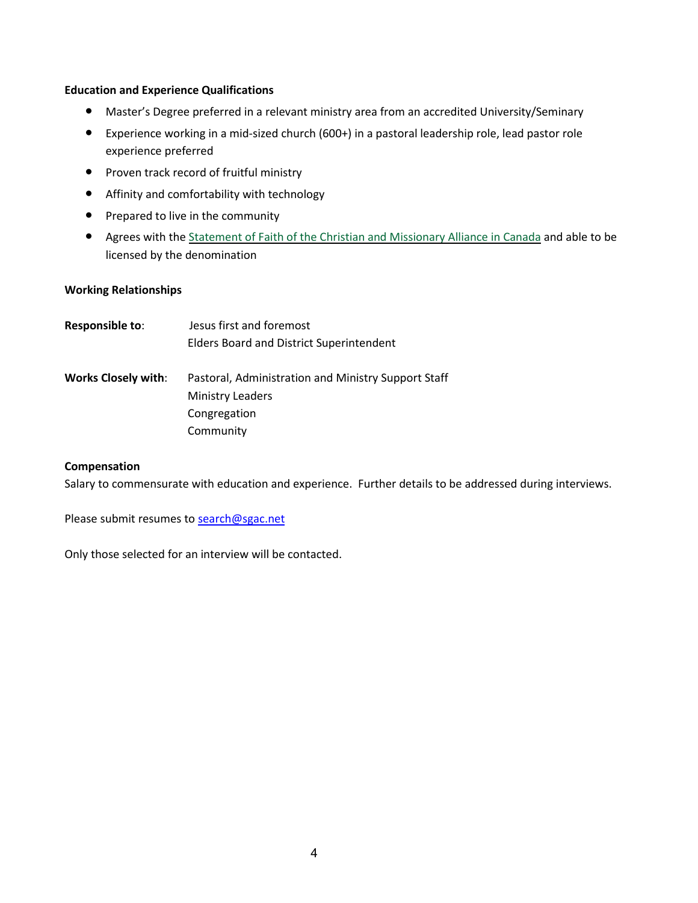#### <span id="page-3-0"></span>**Education and Experience Qualifications**

- Master's Degree preferred in a relevant ministry area from an accredited University/Seminary
- Experience working in a mid-sized church (600+) in a pastoral leadership role, lead pastor role experience preferred
- Proven track record of fruitful ministry
- Affinity and comfortability with technology
- Prepared to live in the community
- Agrees with the Statement of Faith of the Christian and [Missionary](#page-8-0) Alliance in Canada and able to be licensed by the denomination

## **Working Relationships**

| <b>Responsible to:</b>     | Jesus first and foremost                            |
|----------------------------|-----------------------------------------------------|
|                            | <b>Elders Board and District Superintendent</b>     |
| <b>Works Closely with:</b> | Pastoral, Administration and Ministry Support Staff |
|                            | <b>Ministry Leaders</b>                             |
|                            | Congregation                                        |
|                            | Community                                           |

#### **Compensation**

Salary to commensurate with education and experience. Further details to be addressed during interviews.

Please submit resumes to [search@sgac.net](mailto:search@sgac.net)

Only those selected for an interview will be contacted.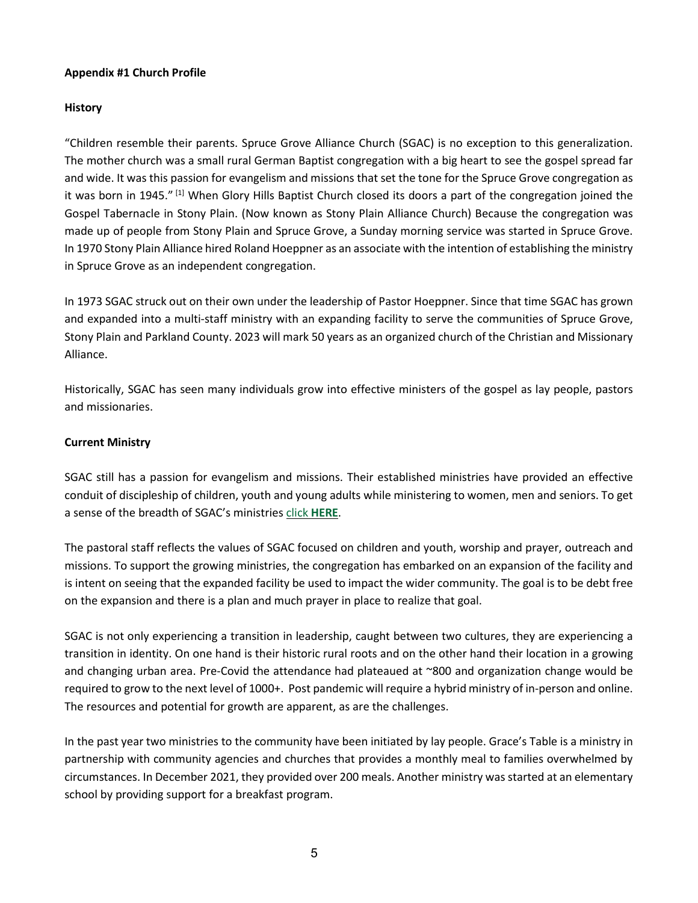# <span id="page-4-0"></span>**Appendix #1 Church Profile**

# **History**

"Children resemble their parents. Spruce Grove Alliance Church (SGAC) is no exception to this generalization. The mother church was a small rural German Baptist congregation with a big heart to see the gospel spread far and wide. It was this passion for evangelism and missions that set the tone for the Spruce Grove congregation as it was born in 1945."<sup>[1]</sup> When Glory Hills Baptist Church closed its doors a part of the congregation joined the Gospel Tabernacle in Stony Plain. (Now known as Stony Plain Alliance Church) Because the congregation was made up of people from Stony Plain and Spruce Grove, a Sunday morning service was started in Spruce Grove. In 1970 Stony Plain Alliance hired Roland Hoeppner as an associate with the intention of establishing the ministry in Spruce Grove as an independent congregation.

In 1973 SGAC struck out on their own under the leadership of Pastor Hoeppner. Since that time SGAC has grown and expanded into a multi-staff ministry with an expanding facility to serve the communities of Spruce Grove, Stony Plain and Parkland County. 2023 will mark 50 years as an organized church of the Christian and Missionary Alliance.

Historically, SGAC has seen many individuals grow into effective ministers of the gospel as lay people, pastors and missionaries.

# **Current Ministry**

SGAC still has a passion for evangelism and missions. Their established ministries have provided an effective conduit of discipleship of children, youth and young adults while ministering to women, men and seniors. To get a sense of the breadth of SGAC's ministries click **[HERE](https://www.sgac.net/)**.

The pastoral staff reflects the values of SGAC focused on children and youth, worship and prayer, outreach and missions. To support the growing ministries, the congregation has embarked on an expansion of the facility and is intent on seeing that the expanded facility be used to impact the wider community. The goal is to be debt free on the expansion and there is a plan and much prayer in place to realize that goal.

SGAC is not only experiencing a transition in leadership, caught between two cultures, they are experiencing a transition in identity. On one hand is their historic rural roots and on the other hand their location in a growing and changing urban area. Pre-Covid the attendance had plateaued at ~800 and organization change would be required to grow to the next level of 1000+. Post pandemic will require a hybrid ministry of in-person and online. The resources and potential for growth are apparent, as are the challenges.

In the past year two ministries to the community have been initiated by lay people. Grace's Table is a ministry in partnership with community agencies and churches that provides a monthly meal to families overwhelmed by circumstances. In December 2021, they provided over 200 meals. Another ministry was started at an elementary school by providing support for a breakfast program.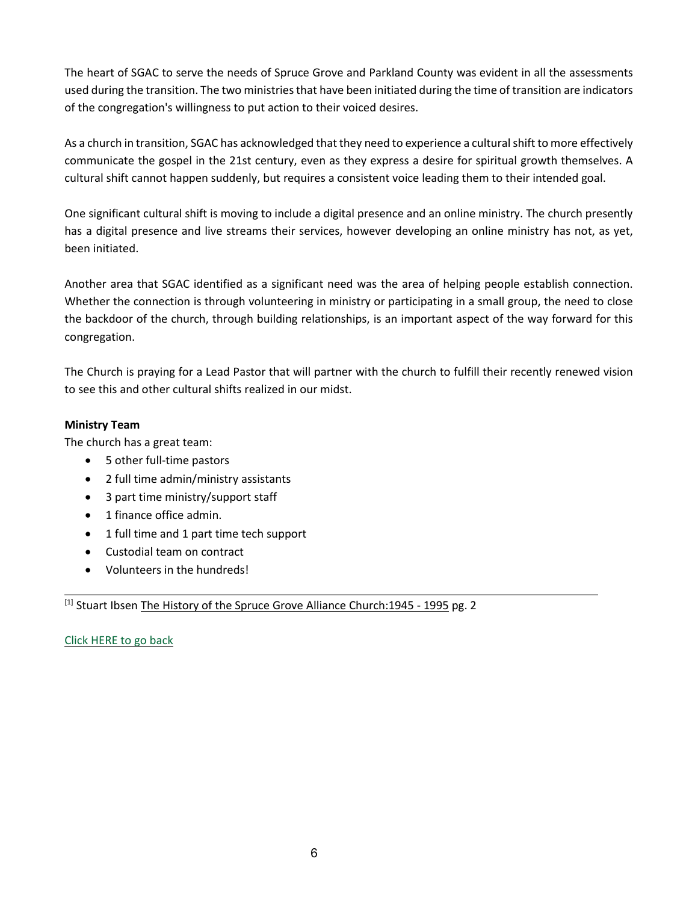The heart of SGAC to serve the needs of Spruce Grove and Parkland County was evident in all the assessments used during the transition. The two ministriesthat have been initiated during the time of transition are indicators of the congregation's willingness to put action to their voiced desires.

As a church in transition, SGAC has acknowledged that they need to experience a cultural shift to more effectively communicate the gospel in the 21st century, even as they express a desire for spiritual growth themselves. A cultural shift cannot happen suddenly, but requires a consistent voice leading them to their intended goal.

One significant cultural shift is moving to include a digital presence and an online ministry. The church presently has a digital presence and live streams their services, however developing an online ministry has not, as yet, been initiated.

Another area that SGAC identified as a significant need was the area of helping people establish connection. Whether the connection is through volunteering in ministry or participating in a small group, the need to close the backdoor of the church, through building relationships, is an important aspect of the way forward for this congregation.

The Church is praying for a Lead Pastor that will partner with the church to fulfill their recently renewed vision to see this and other cultural shifts realized in our midst.

# **Ministry Team**

The church has a great team:

- 5 other full-time pastors
- 2 full time admin/ministry assistants
- 3 part time ministry/support staff
- 1 finance office admin.
- 1 full time and 1 part time tech support
- Custodial team on contract
- Volunteers in the hundreds!

[1] Stuart Ibsen The History of the Spruce Grove Alliance Church: 1945 - 1995 pg. 2

Click [HERE](#page-0-0) to go back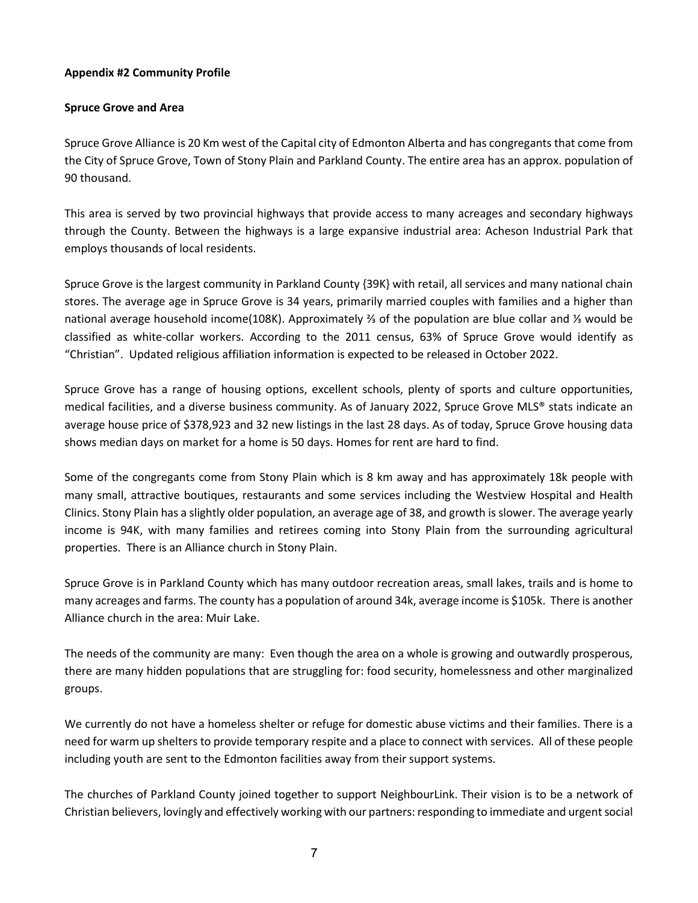# <span id="page-6-0"></span>**Appendix #2 Community Profile**

## **Spruce Grove and Area**

Spruce Grove Alliance is 20 Km west of the Capital city of Edmonton Alberta and has congregants that come from the City of Spruce Grove, Town of Stony Plain and Parkland County. The entire area has an approx. population of 90 thousand.

This area is served by two provincial highways that provide access to many acreages and secondary highways through the County. Between the highways is a large expansive industrial area: Acheson Industrial Park that employs thousands of local residents.

Spruce Grove is the largest community in Parkland County {39K} with retail, all services and many national chain stores. The average age in Spruce Grove is 34 years, primarily married couples with families and a higher than national average household income(108K). Approximately ⅔ of the population are blue collar and ⅓ would be classified as white-collar workers. According to the 2011 census, 63% of Spruce Grove would identify as "Christian". Updated religious affiliation information is expected to be released in October 2022.

Spruce Grove has a range of housing options, excellent schools, plenty of sports and culture opportunities, medical facilities, and a diverse business community. As of January 2022, Spruce Grove MLS® stats indicate an average house price of \$378,923 and 32 new listings in the last 28 days. As of today, Spruce Grove housing data shows median days on market for a home is 50 days. Homes for rent are hard to find.

Some of the congregants come from Stony Plain which is 8 km away and has approximately 18k people with many small, attractive boutiques, restaurants and some services including the Westview Hospital and Health Clinics. Stony Plain has a slightly older population, an average age of 38, and growth is slower. The average yearly income is 94K, with many families and retirees coming into Stony Plain from the surrounding agricultural properties. There is an Alliance church in Stony Plain.

Spruce Grove is in Parkland County which has many outdoor recreation areas, small lakes, trails and is home to many acreages and farms. The county has a population of around 34k, average income is \$105k. There is another Alliance church in the area: Muir Lake.

The needs of the community are many: Even though the area on a whole is growing and outwardly prosperous, there are many hidden populations that are struggling for: food security, homelessness and other marginalized groups.

We currently do not have a homeless shelter or refuge for domestic abuse victims and their families. There is a need for warm up shelters to provide temporary respite and a place to connect with services. All of these people including youth are sent to the Edmonton facilities away from their support systems.

The churches of Parkland County joined together to support NeighbourLink. Their vision is to be a network of Christian believers, lovingly and effectively working with our partners: responding to immediate and urgent social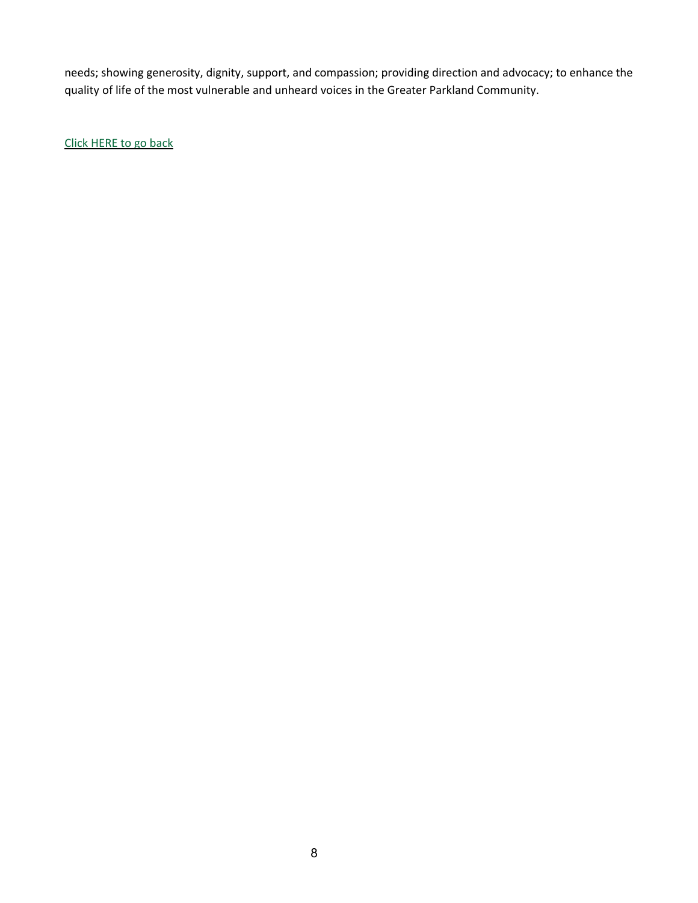needs; showing generosity, dignity, support, and compassion; providing direction and advocacy; to enhance the quality of life of the most vulnerable and unheard voices in the Greater Parkland Community.

Click [HERE](#page-1-0) to go back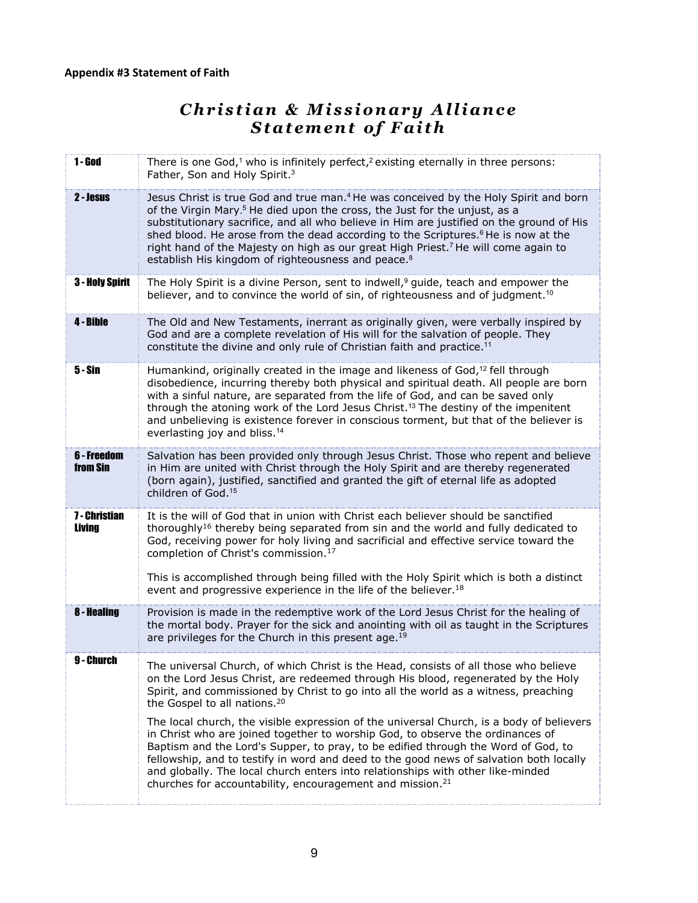# *C h r i s t i a n & M i s s i o n a r y A l l i a n c e S t a t e m e n t o f F a i t h*

<span id="page-8-0"></span>

| $1 -$ God               | There is one God, <sup>1</sup> who is infinitely perfect, <sup>2</sup> existing eternally in three persons:<br>Father, Son and Holy Spirit. <sup>3</sup>                                                                                                                                                                                                                                                                                                                                                                                                                                                                                                                                                                                                                                                                              |
|-------------------------|---------------------------------------------------------------------------------------------------------------------------------------------------------------------------------------------------------------------------------------------------------------------------------------------------------------------------------------------------------------------------------------------------------------------------------------------------------------------------------------------------------------------------------------------------------------------------------------------------------------------------------------------------------------------------------------------------------------------------------------------------------------------------------------------------------------------------------------|
| 2 - Jesus               | Jesus Christ is true God and true man. <sup>4</sup> He was conceived by the Holy Spirit and born<br>of the Virgin Mary. <sup>5</sup> He died upon the cross, the Just for the unjust, as a<br>substitutionary sacrifice, and all who believe in Him are justified on the ground of His<br>shed blood. He arose from the dead according to the Scriptures. <sup>6</sup> He is now at the<br>right hand of the Majesty on high as our great High Priest. <sup>7</sup> He will come again to<br>establish His kingdom of righteousness and peace. <sup>8</sup>                                                                                                                                                                                                                                                                           |
| <b>3 - Holy Spirit</b>  | The Holy Spirit is a divine Person, sent to indwell, <sup>9</sup> guide, teach and empower the<br>believer, and to convince the world of sin, of righteousness and of judgment. <sup>10</sup>                                                                                                                                                                                                                                                                                                                                                                                                                                                                                                                                                                                                                                         |
| 4 - Bible               | The Old and New Testaments, inerrant as originally given, were verbally inspired by<br>God and are a complete revelation of His will for the salvation of people. They<br>constitute the divine and only rule of Christian faith and practice. <sup>11</sup>                                                                                                                                                                                                                                                                                                                                                                                                                                                                                                                                                                          |
| <b>5-Sin</b>            | Humankind, originally created in the image and likeness of God, <sup>12</sup> fell through<br>disobedience, incurring thereby both physical and spiritual death. All people are born<br>with a sinful nature, are separated from the life of God, and can be saved only<br>through the atoning work of the Lord Jesus Christ. <sup>13</sup> The destiny of the impenitent<br>and unbelieving is existence forever in conscious torment, but that of the believer is<br>everlasting joy and bliss. <sup>14</sup>                                                                                                                                                                                                                                                                                                                       |
| 6 - Freedom<br>from Sin | Salvation has been provided only through Jesus Christ. Those who repent and believe<br>in Him are united with Christ through the Holy Spirit and are thereby regenerated<br>(born again), justified, sanctified and granted the gift of eternal life as adopted<br>children of God. <sup>15</sup>                                                                                                                                                                                                                                                                                                                                                                                                                                                                                                                                     |
| 7 - Christian<br>Living | It is the will of God that in union with Christ each believer should be sanctified<br>thoroughly <sup>16</sup> thereby being separated from sin and the world and fully dedicated to<br>God, receiving power for holy living and sacrificial and effective service toward the<br>completion of Christ's commission. <sup>17</sup><br>This is accomplished through being filled with the Holy Spirit which is both a distinct<br>event and progressive experience in the life of the believer. <sup>18</sup>                                                                                                                                                                                                                                                                                                                           |
| <b>8 - Healing</b>      | Provision is made in the redemptive work of the Lord Jesus Christ for the healing of<br>the mortal body. Prayer for the sick and anointing with oil as taught in the Scriptures<br>are privileges for the Church in this present age. <sup>19</sup>                                                                                                                                                                                                                                                                                                                                                                                                                                                                                                                                                                                   |
| 9 - Church              | The universal Church, of which Christ is the Head, consists of all those who believe<br>on the Lord Jesus Christ, are redeemed through His blood, regenerated by the Holy<br>Spirit, and commissioned by Christ to go into all the world as a witness, preaching<br>the Gospel to all nations. <sup>20</sup><br>The local church, the visible expression of the universal Church, is a body of believers<br>in Christ who are joined together to worship God, to observe the ordinances of<br>Baptism and the Lord's Supper, to pray, to be edified through the Word of God, to<br>fellowship, and to testify in word and deed to the good news of salvation both locally<br>and globally. The local church enters into relationships with other like-minded<br>churches for accountability, encouragement and mission. <sup>21</sup> |
|                         |                                                                                                                                                                                                                                                                                                                                                                                                                                                                                                                                                                                                                                                                                                                                                                                                                                       |